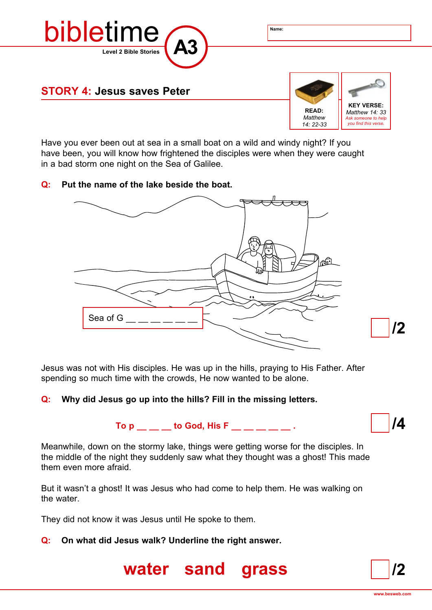

Have you ever been out at sea in a small boat on a wild and windy night? If you have been, you will know how frightened the disciples were when they were caught in a bad storm one night on the Sea of Galilee.

## **Q: Put the name of the lake beside the boat.**



Jesus was not with His disciples. He was up in the hills, praying to His Father. After spending so much time with the crowds, He now wanted to be alone.

## **Q: Why did Jesus go up into the hills? Fill in the missing letters.**

**To p**  $\bullet$  **to God, His F**  $\bullet$  **.** 

**/4** 

Meanwhile, down on the stormy lake, things were getting worse for the disciples. In the middle of the night they suddenly saw what they thought was a ghost! This made them even more afraid.

But it wasn't a ghost! It was Jesus who had come to help them. He was walking on the water.

They did not know it was Jesus until He spoke to them.

**Q: On what did Jesus walk? Underline the right answer.**



**/2**